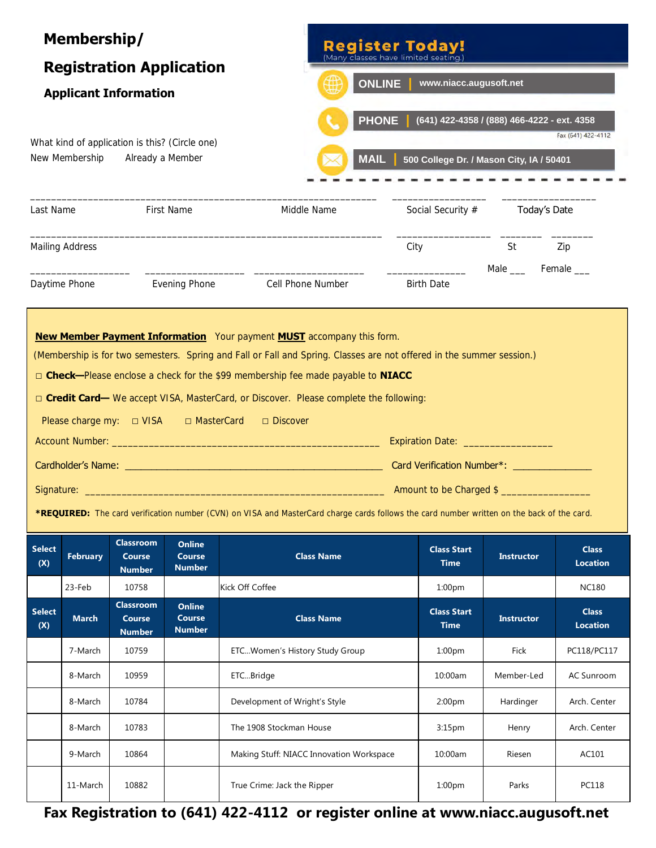|                      | Membership/     |                                                                    |                                                 |                                                                                                                                                                                                                                                                                                                                                                                     | <b>Register Today!</b><br>(Many classes have limited seating.) |                                                        |                                                                                                           |                                 |  |
|----------------------|-----------------|--------------------------------------------------------------------|-------------------------------------------------|-------------------------------------------------------------------------------------------------------------------------------------------------------------------------------------------------------------------------------------------------------------------------------------------------------------------------------------------------------------------------------------|----------------------------------------------------------------|--------------------------------------------------------|-----------------------------------------------------------------------------------------------------------|---------------------------------|--|
|                      |                 | <b>Registration Application</b><br><b>Applicant Information</b>    |                                                 |                                                                                                                                                                                                                                                                                                                                                                                     | <b>ONLINE</b>                                                  | www.niacc.augusoft.net                                 |                                                                                                           |                                 |  |
|                      | New Membership  | What kind of application is this? (Circle one)<br>Already a Member |                                                 |                                                                                                                                                                                                                                                                                                                                                                                     | <b>PHONE</b><br><b>MAIL</b>                                    |                                                        | (641) 422-4358 / (888) 466-4222 - ext. 4358<br>500 College Dr. / Mason City, IA / 50401<br>-------------- | Fax (641) 422-4112              |  |
| Last Name            |                 |                                                                    | First Name                                      | Middle Name                                                                                                                                                                                                                                                                                                                                                                         |                                                                | Social Security #                                      |                                                                                                           | Today's Date                    |  |
|                      | Mailing Address |                                                                    |                                                 |                                                                                                                                                                                                                                                                                                                                                                                     |                                                                | City                                                   |                                                                                                           | Zip                             |  |
| Daytime Phone        |                 |                                                                    | Evening Phone                                   | Cell Phone Number                                                                                                                                                                                                                                                                                                                                                                   |                                                                | the control of the control of the<br><b>Birth Date</b> | Male _____ Female ___                                                                                     |                                 |  |
|                      |                 |                                                                    |                                                 | □ Check—Please enclose a check for the \$99 membership fee made payable to NIACC<br>□ <b>Credit Card—</b> We accept VISA, MasterCard, or Discover. Please complete the following:<br>Please charge my: □ VISA □ MasterCard □ Discover<br>*REQUIRED: The card verification number (CVN) on VISA and MasterCard charge cards follows the card number written on the back of the card. |                                                                |                                                        |                                                                                                           |                                 |  |
| <b>Select</b><br>(X) | <b>February</b> | <b>Classroom</b><br><b>Course</b><br><b>Number</b>                 | <b>Online</b><br><b>Course</b><br><b>Number</b> | <b>Class Name</b>                                                                                                                                                                                                                                                                                                                                                                   |                                                                | <b>Class Start</b><br><b>Time</b>                      | <b>Instructor</b>                                                                                         | <b>Class</b><br><b>Location</b> |  |
|                      | 23-Feb          | 10758                                                              |                                                 | Kick Off Coffee                                                                                                                                                                                                                                                                                                                                                                     |                                                                | 1:00 <sub>pm</sub>                                     |                                                                                                           | <b>NC180</b>                    |  |
| <b>Select</b><br>(X) | <b>March</b>    | <b>Classroom</b><br><b>Course</b><br><b>Number</b>                 | <b>Online</b><br><b>Course</b><br><b>Number</b> | <b>Class Name</b>                                                                                                                                                                                                                                                                                                                                                                   |                                                                | <b>Class Start</b><br><b>Time</b>                      | <b>Instructor</b>                                                                                         | <b>Class</b><br><b>Location</b> |  |
|                      | 7-March         | 10759                                                              |                                                 | ETC Women's History Study Group                                                                                                                                                                                                                                                                                                                                                     |                                                                | 1:00 <sub>pm</sub>                                     | Fick                                                                                                      | PC118/PC117                     |  |
|                      | 8-March         | 10959                                                              |                                                 | ETCBridge                                                                                                                                                                                                                                                                                                                                                                           |                                                                | 10:00am                                                | Member-Led                                                                                                | <b>AC Sunroom</b>               |  |
|                      | 8-March         | 10784                                                              |                                                 | Development of Wright's Style                                                                                                                                                                                                                                                                                                                                                       |                                                                | 2:00 <sub>pm</sub>                                     | Hardinger                                                                                                 | Arch. Center                    |  |
|                      | 8-March         | 10783                                                              |                                                 | The 1908 Stockman House                                                                                                                                                                                                                                                                                                                                                             |                                                                | 3:15 <sub>pm</sub>                                     | Henry                                                                                                     | Arch. Center                    |  |
|                      | 9-March         | 10864                                                              |                                                 | Making Stuff: NIACC Innovation Workspace                                                                                                                                                                                                                                                                                                                                            |                                                                | 10:00am                                                | Riesen                                                                                                    | AC101                           |  |
|                      | 11-March        | 10882                                                              |                                                 | True Crime: Jack the Ripper                                                                                                                                                                                                                                                                                                                                                         |                                                                | 1:00 <sub>pm</sub>                                     | Parks                                                                                                     | PC118                           |  |

**Fax Registration to (641) 422-4112 or register online at www.niacc.augusoft.net**